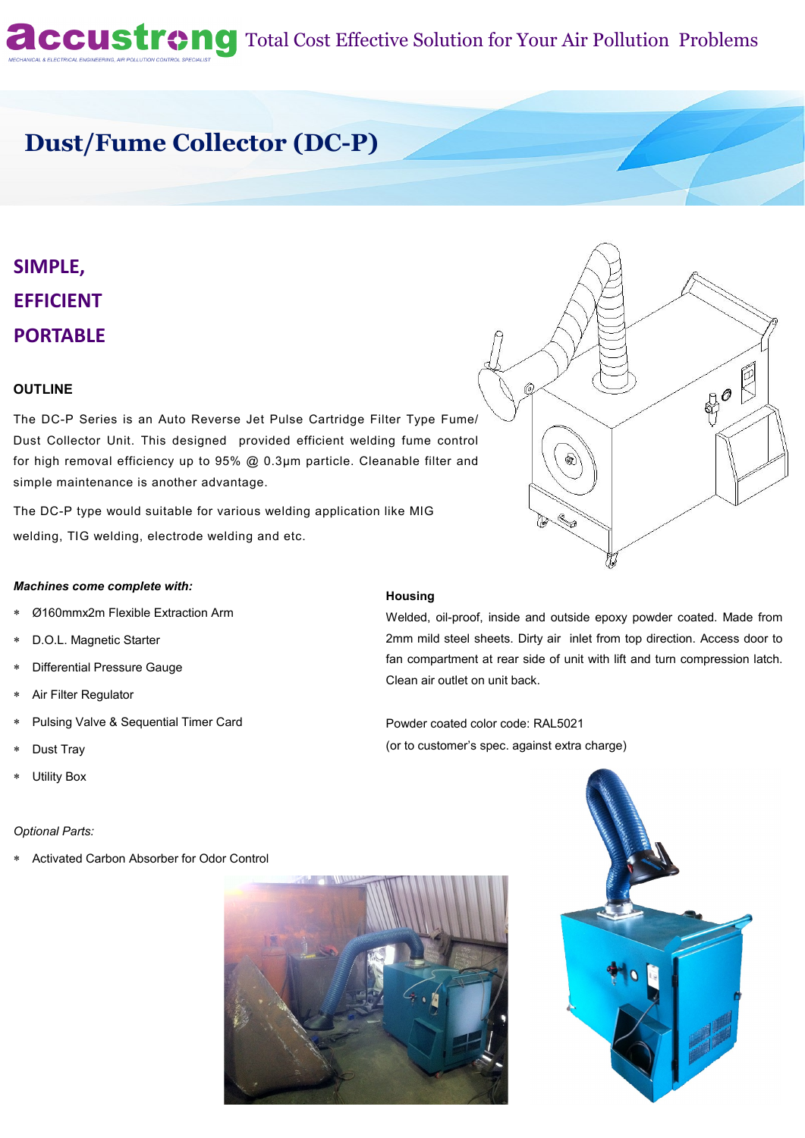# **Accustrong** Total Cost Effective Solution for Your Air Pollution Problems

## **Dust/Fume Collector (DC-P)**

# **SIMPLE, EFFICIENT PORTABLE**

#### **OUTLINE**

The DC-P Series is an Auto Reverse Jet Pulse Cartridge Filter Type Fume/ Dust Collector Unit. This designed provided efficient welding fume control for high removal efficiency up to 95% @ 0.3µm particle. Cleanable filter and simple maintenance is another advantage.

The DC-P type would suitable for various welding application like MIG welding, TIG welding, electrode welding and etc.

#### *Machines come complete with:*

- Ø160mmx2m Flexible Extraction Arm
- D.O.L. Magnetic Starter
- Differential Pressure Gauge
- Air Filter Regulator
- Pulsing Valve & Sequential Timer Card
- Dust Tray
- Utility Box

#### *Optional Parts:*

Activated Carbon Absorber for Odor Control





#### **Housing**

Welded, oil-proof, inside and outside epoxy powder coated. Made from 2mm mild steel sheets. Dirty air inlet from top direction. Access door to fan compartment at rear side of unit with lift and turn compression latch. Clean air outlet on unit back.

Powder coated color code: RAL5021 (or to customer's spec. against extra charge)